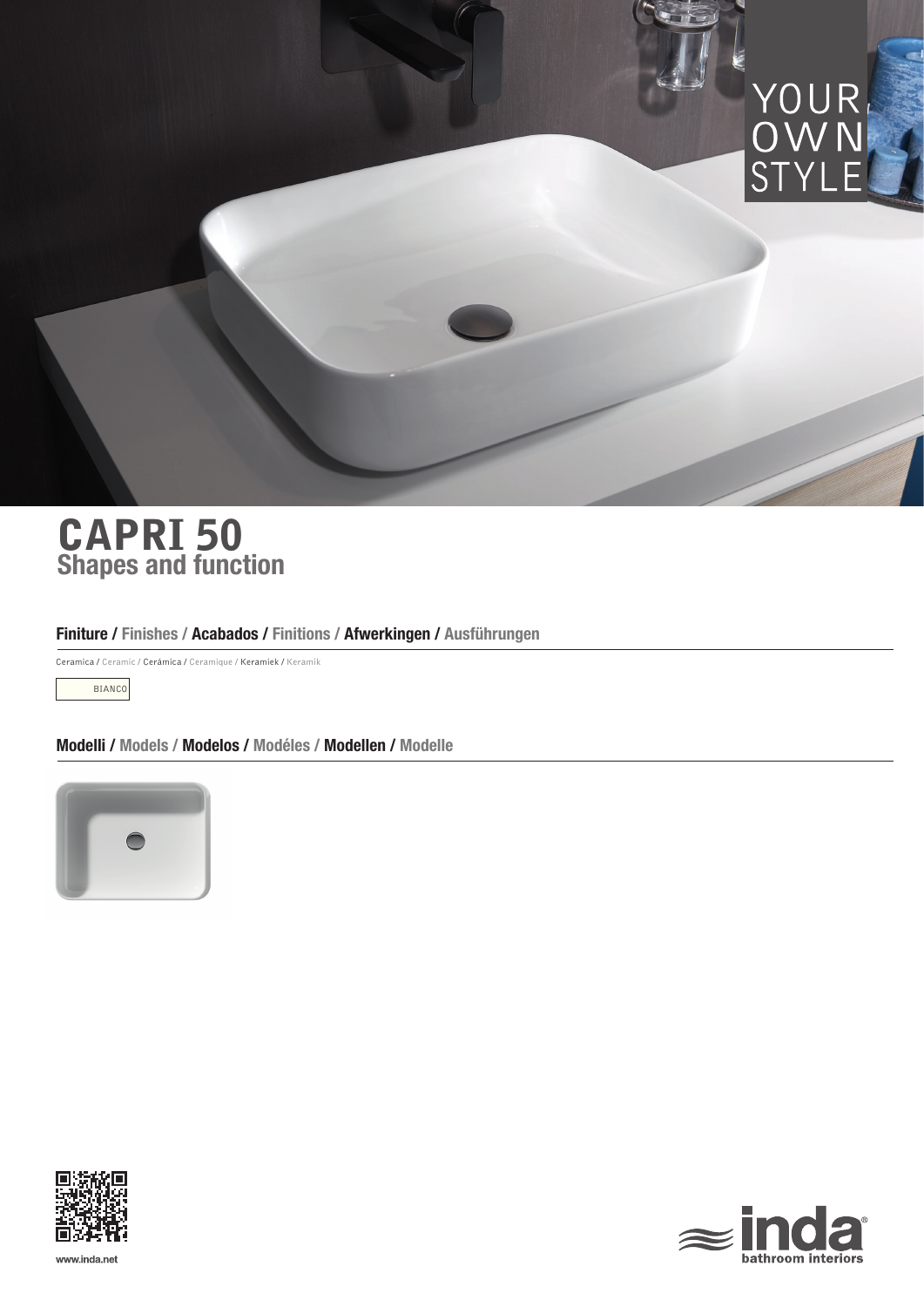

# Shapes and function CAPRI 50

# Finiture / Finishes / Acabados / Finitions / Afwerkingen / Ausführungen

Ceramica / Ceramic / Cerámica / Ceramique / Keramiek / Keramik

BIANCO

Modelli / Models / Modelos / Modéles / Modellen / Modelle